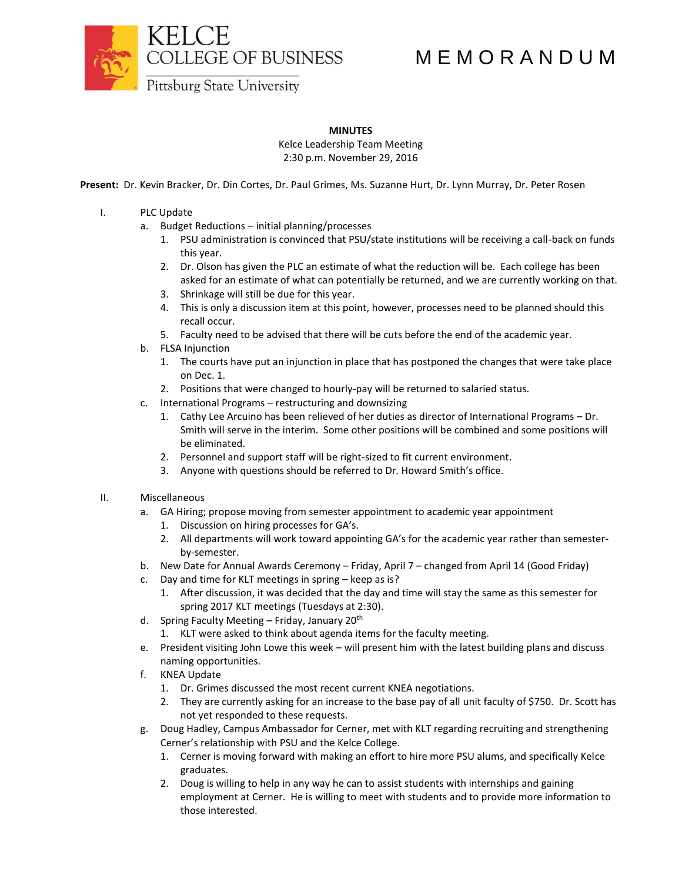COLLEGE OF BUSINESS

## M E M O R A N D U M

Pittsburg State University

## **MINUTES**

Kelce Leadership Team Meeting 2:30 p.m. November 29, 2016

**Present:** Dr. Kevin Bracker, Dr. Din Cortes, Dr. Paul Grimes, Ms. Suzanne Hurt, Dr. Lynn Murray, Dr. Peter Rosen

- I. PLC Update
	- a. Budget Reductions initial planning/processes
		- 1. PSU administration is convinced that PSU/state institutions will be receiving a call-back on funds this year.
		- 2. Dr. Olson has given the PLC an estimate of what the reduction will be. Each college has been asked for an estimate of what can potentially be returned, and we are currently working on that.
		- 3. Shrinkage will still be due for this year.
		- 4. This is only a discussion item at this point, however, processes need to be planned should this recall occur.
		- 5. Faculty need to be advised that there will be cuts before the end of the academic year.
	- b. FLSA Injunction
		- 1. The courts have put an injunction in place that has postponed the changes that were take place on Dec. 1.
		- 2. Positions that were changed to hourly-pay will be returned to salaried status.
	- c. International Programs restructuring and downsizing
		- 1. Cathy Lee Arcuino has been relieved of her duties as director of International Programs Dr. Smith will serve in the interim. Some other positions will be combined and some positions will be eliminated.
		- 2. Personnel and support staff will be right-sized to fit current environment.
		- 3. Anyone with questions should be referred to Dr. Howard Smith's office.

## II. Miscellaneous

- a. GA Hiring; propose moving from semester appointment to academic year appointment
	- 1. Discussion on hiring processes for GA's.
	- 2. All departments will work toward appointing GA's for the academic year rather than semesterby-semester.
- b. New Date for Annual Awards Ceremony Friday, April 7 changed from April 14 (Good Friday)
- c. Day and time for KLT meetings in spring keep as is?
	- 1. After discussion, it was decided that the day and time will stay the same as this semester for spring 2017 KLT meetings (Tuesdays at 2:30).
- d. Spring Faculty Meeting Friday, January  $20<sup>th</sup>$ 
	- 1. KLT were asked to think about agenda items for the faculty meeting.
- e. President visiting John Lowe this week will present him with the latest building plans and discuss naming opportunities.
- f. KNEA Update
	- 1. Dr. Grimes discussed the most recent current KNEA negotiations.
	- 2. They are currently asking for an increase to the base pay of all unit faculty of \$750. Dr. Scott has not yet responded to these requests.
- g. Doug Hadley, Campus Ambassador for Cerner, met with KLT regarding recruiting and strengthening Cerner's relationship with PSU and the Kelce College.
	- 1. Cerner is moving forward with making an effort to hire more PSU alums, and specifically Kelce graduates.
	- 2. Doug is willing to help in any way he can to assist students with internships and gaining employment at Cerner. He is willing to meet with students and to provide more information to those interested.